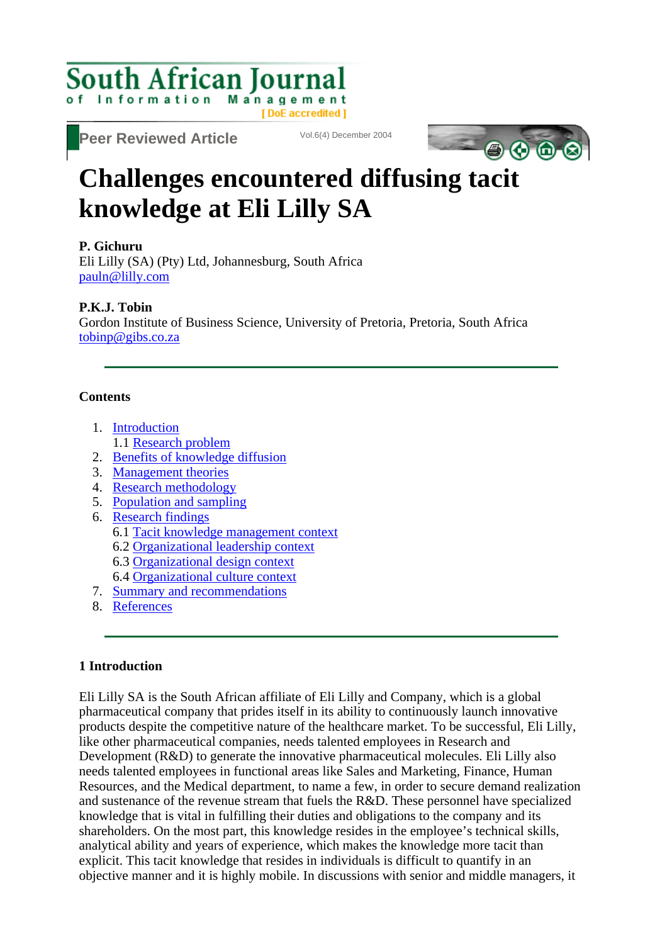# South African Journal of Information Management [DoE accredited]

Peer Reviewed Article Vol.6(4) December 2004



# **Challenges encountered diffusing tacit knowledge at Eli Lilly SA**

**P. Gichuru**  Eli Lilly (SA) (Pty) Ltd, Johannesburg, South Africa pauln@lilly.com

## **P.K.J. Tobin**

Gordon Institute of Business Science, University of Pretoria, Pretoria, South Africa tobinp@gibs.co.za

## **Contents**

- 1. Introduction
	- 1.1 Research problem
- 2. Benefits of knowledge diffusion
- 3. Management theories
- 4. Research methodology
- 5. Population and sampling
- 6. Research findings
	- 6.1 Tacit knowledge management context
	- 6.2 Organizational leadership context
	- 6.3 Organizational design context
	- 6.4 Organizational culture context
- 7. Summary and recommendations
- 8. References

## **1 Introduction**

Eli Lilly SA is the South African affiliate of Eli Lilly and Company, which is a global pharmaceutical company that prides itself in its ability to continuously launch innovative products despite the competitive nature of the healthcare market. To be successful, Eli Lilly, like other pharmaceutical companies, needs talented employees in Research and Development (R&D) to generate the innovative pharmaceutical molecules. Eli Lilly also needs talented employees in functional areas like Sales and Marketing, Finance, Human Resources, and the Medical department, to name a few, in order to secure demand realization and sustenance of the revenue stream that fuels the R&D. These personnel have specialized knowledge that is vital in fulfilling their duties and obligations to the company and its shareholders. On the most part, this knowledge resides in the employee's technical skills, analytical ability and years of experience, which makes the knowledge more tacit than explicit. This tacit knowledge that resides in individuals is difficult to quantify in an objective manner and it is highly mobile. In discussions with senior and middle managers, it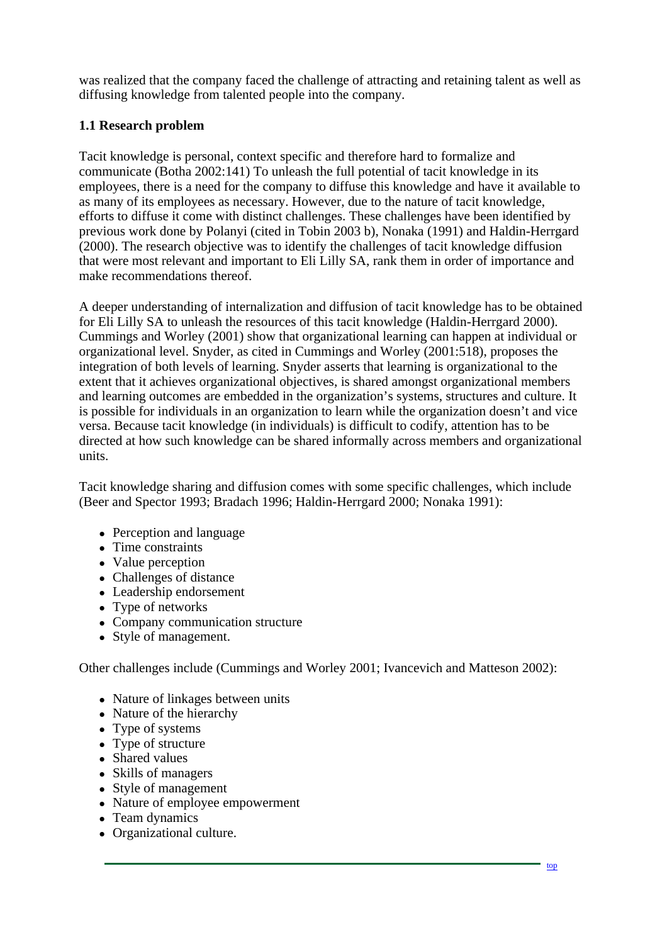was realized that the company faced the challenge of attracting and retaining talent as well as diffusing knowledge from talented people into the company.

#### **1.1 Research problem**

Tacit knowledge is personal, context specific and therefore hard to formalize and communicate (Botha 2002:141) To unleash the full potential of tacit knowledge in its employees, there is a need for the company to diffuse this knowledge and have it available to as many of its employees as necessary. However, due to the nature of tacit knowledge, efforts to diffuse it come with distinct challenges. These challenges have been identified by previous work done by Polanyi (cited in Tobin 2003 b), Nonaka (1991) and Haldin-Herrgard (2000). The research objective was to identify the challenges of tacit knowledge diffusion that were most relevant and important to Eli Lilly SA, rank them in order of importance and make recommendations thereof.

A deeper understanding of internalization and diffusion of tacit knowledge has to be obtained for Eli Lilly SA to unleash the resources of this tacit knowledge (Haldin-Herrgard 2000). Cummings and Worley (2001) show that organizational learning can happen at individual or organizational level. Snyder, as cited in Cummings and Worley (2001:518), proposes the integration of both levels of learning. Snyder asserts that learning is organizational to the extent that it achieves organizational objectives, is shared amongst organizational members and learning outcomes are embedded in the organization's systems, structures and culture. It is possible for individuals in an organization to learn while the organization doesn't and vice versa. Because tacit knowledge (in individuals) is difficult to codify, attention has to be directed at how such knowledge can be shared informally across members and organizational units.

Tacit knowledge sharing and diffusion comes with some specific challenges, which include (Beer and Spector 1993; Bradach 1996; Haldin-Herrgard 2000; Nonaka 1991):

- Perception and language
- Time constraints
- Value perception
- Challenges of distance
- Leadership endorsement
- Type of networks
- Company communication structure
- Style of management.

Other challenges include (Cummings and Worley 2001; Ivancevich and Matteson 2002):

- Nature of linkages between units
- Nature of the hierarchy
- Type of systems
- Type of structure
- $\bullet$  Shared values
- Skills of managers
- Style of management
- Nature of employee empowerment
- Team dynamics
- Organizational culture.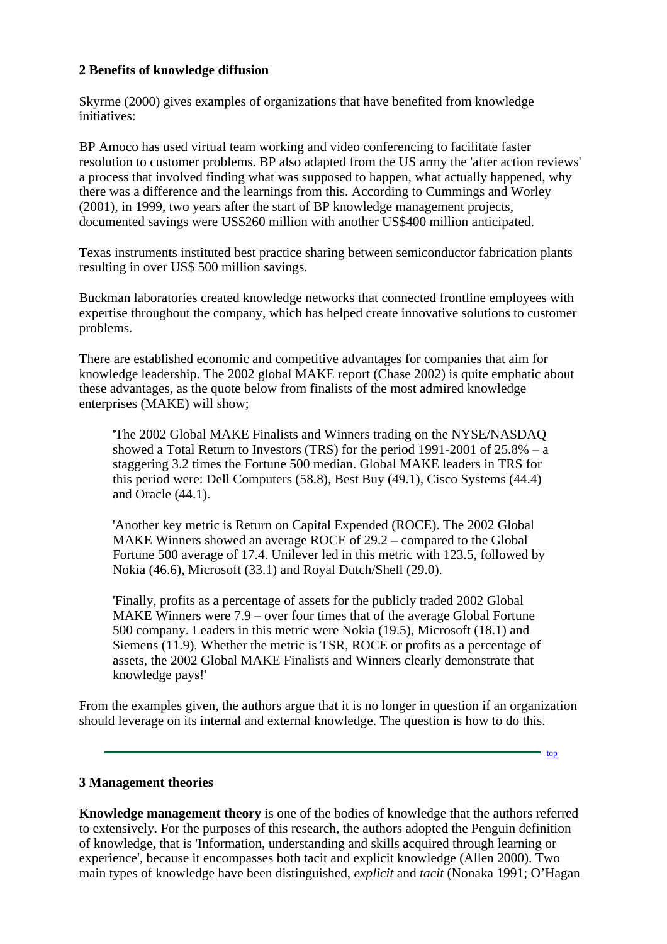#### **2 Benefits of knowledge diffusion**

Skyrme (2000) gives examples of organizations that have benefited from knowledge initiatives:

BP Amoco has used virtual team working and video conferencing to facilitate faster resolution to customer problems. BP also adapted from the US army the 'after action reviews' a process that involved finding what was supposed to happen, what actually happened, why there was a difference and the learnings from this. According to Cummings and Worley (2001), in 1999, two years after the start of BP knowledge management projects, documented savings were US\$260 million with another US\$400 million anticipated.

Texas instruments instituted best practice sharing between semiconductor fabrication plants resulting in over US\$ 500 million savings.

Buckman laboratories created knowledge networks that connected frontline employees with expertise throughout the company, which has helped create innovative solutions to customer problems.

There are established economic and competitive advantages for companies that aim for knowledge leadership. The 2002 global MAKE report (Chase 2002) is quite emphatic about these advantages, as the quote below from finalists of the most admired knowledge enterprises (MAKE) will show;

'The 2002 Global MAKE Finalists and Winners trading on the NYSE/NASDAQ showed a Total Return to Investors (TRS) for the period 1991-2001 of 25.8% – a staggering 3.2 times the Fortune 500 median. Global MAKE leaders in TRS for this period were: Dell Computers (58.8), Best Buy (49.1), Cisco Systems (44.4) and Oracle (44.1).

'Another key metric is Return on Capital Expended (ROCE). The 2002 Global MAKE Winners showed an average ROCE of 29.2 – compared to the Global Fortune 500 average of 17.4. Unilever led in this metric with 123.5, followed by Nokia (46.6), Microsoft (33.1) and Royal Dutch/Shell (29.0).

'Finally, profits as a percentage of assets for the publicly traded 2002 Global MAKE Winners were 7.9 – over four times that of the average Global Fortune 500 company. Leaders in this metric were Nokia (19.5), Microsoft (18.1) and Siemens (11.9). Whether the metric is TSR, ROCE or profits as a percentage of assets, the 2002 Global MAKE Finalists and Winners clearly demonstrate that knowledge pays!'

From the examples given, the authors argue that it is no longer in question if an organization should leverage on its internal and external knowledge. The question is how to do this.

top

#### **3 Management theories**

**Knowledge management theory** is one of the bodies of knowledge that the authors referred to extensively. For the purposes of this research, the authors adopted the Penguin definition of knowledge, that is 'Information, understanding and skills acquired through learning or experience', because it encompasses both tacit and explicit knowledge (Allen 2000). Two main types of knowledge have been distinguished, *explicit* and *tacit* (Nonaka 1991; O'Hagan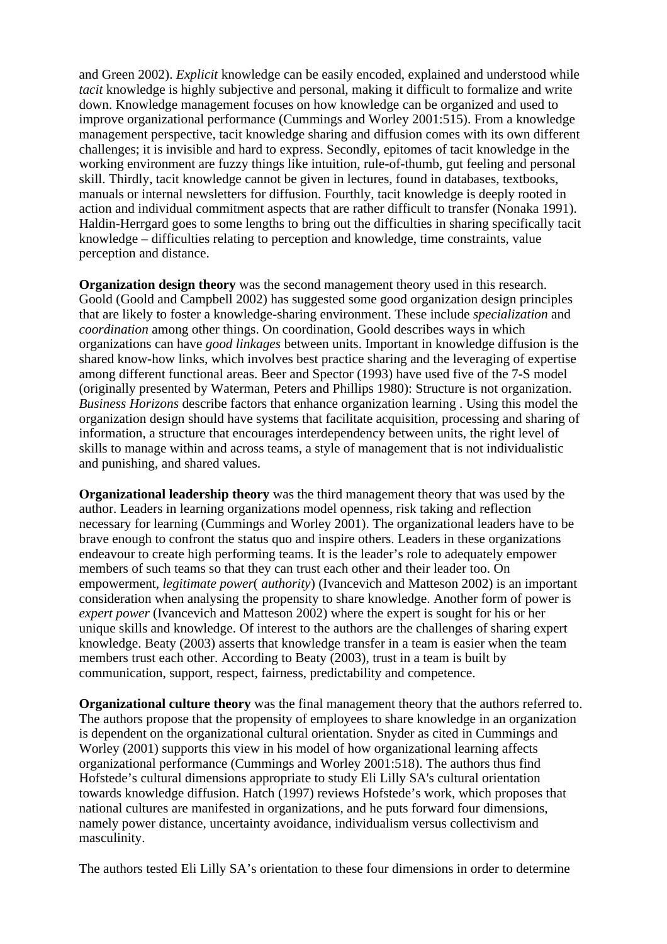and Green 2002). *Explicit* knowledge can be easily encoded, explained and understood while *tacit* knowledge is highly subjective and personal, making it difficult to formalize and write down. Knowledge management focuses on how knowledge can be organized and used to improve organizational performance (Cummings and Worley 2001:515). From a knowledge management perspective, tacit knowledge sharing and diffusion comes with its own different challenges; it is invisible and hard to express. Secondly, epitomes of tacit knowledge in the working environment are fuzzy things like intuition, rule-of-thumb, gut feeling and personal skill. Thirdly, tacit knowledge cannot be given in lectures, found in databases, textbooks, manuals or internal newsletters for diffusion. Fourthly, tacit knowledge is deeply rooted in action and individual commitment aspects that are rather difficult to transfer (Nonaka 1991). Haldin-Herrgard goes to some lengths to bring out the difficulties in sharing specifically tacit knowledge – difficulties relating to perception and knowledge, time constraints, value perception and distance.

**Organization design theory** was the second management theory used in this research. Goold (Goold and Campbell 2002) has suggested some good organization design principles that are likely to foster a knowledge-sharing environment. These include *specialization* and *coordination* among other things. On coordination, Goold describes ways in which organizations can have *good linkages* between units. Important in knowledge diffusion is the shared know-how links, which involves best practice sharing and the leveraging of expertise among different functional areas. Beer and Spector (1993) have used five of the 7-S model (originally presented by Waterman, Peters and Phillips 1980): Structure is not organization. *Business Horizons* describe factors that enhance organization learning . Using this model the organization design should have systems that facilitate acquisition, processing and sharing of information, a structure that encourages interdependency between units, the right level of skills to manage within and across teams, a style of management that is not individualistic and punishing, and shared values.

**Organizational leadership theory** was the third management theory that was used by the author. Leaders in learning organizations model openness, risk taking and reflection necessary for learning (Cummings and Worley 2001). The organizational leaders have to be brave enough to confront the status quo and inspire others. Leaders in these organizations endeavour to create high performing teams. It is the leader's role to adequately empower members of such teams so that they can trust each other and their leader too. On empowerment, *legitimate power*( *authority*) (Ivancevich and Matteson 2002) is an important consideration when analysing the propensity to share knowledge. Another form of power is *expert power* (Ivancevich and Matteson 2002) where the expert is sought for his or her unique skills and knowledge. Of interest to the authors are the challenges of sharing expert knowledge. Beaty (2003) asserts that knowledge transfer in a team is easier when the team members trust each other. According to Beaty (2003), trust in a team is built by communication, support, respect, fairness, predictability and competence.

**Organizational culture theory** was the final management theory that the authors referred to. The authors propose that the propensity of employees to share knowledge in an organization is dependent on the organizational cultural orientation. Snyder as cited in Cummings and Worley (2001) supports this view in his model of how organizational learning affects organizational performance (Cummings and Worley 2001:518). The authors thus find Hofstede's cultural dimensions appropriate to study Eli Lilly SA's cultural orientation towards knowledge diffusion. Hatch (1997) reviews Hofstede's work, which proposes that national cultures are manifested in organizations, and he puts forward four dimensions, namely power distance, uncertainty avoidance, individualism versus collectivism and masculinity.

The authors tested Eli Lilly SA's orientation to these four dimensions in order to determine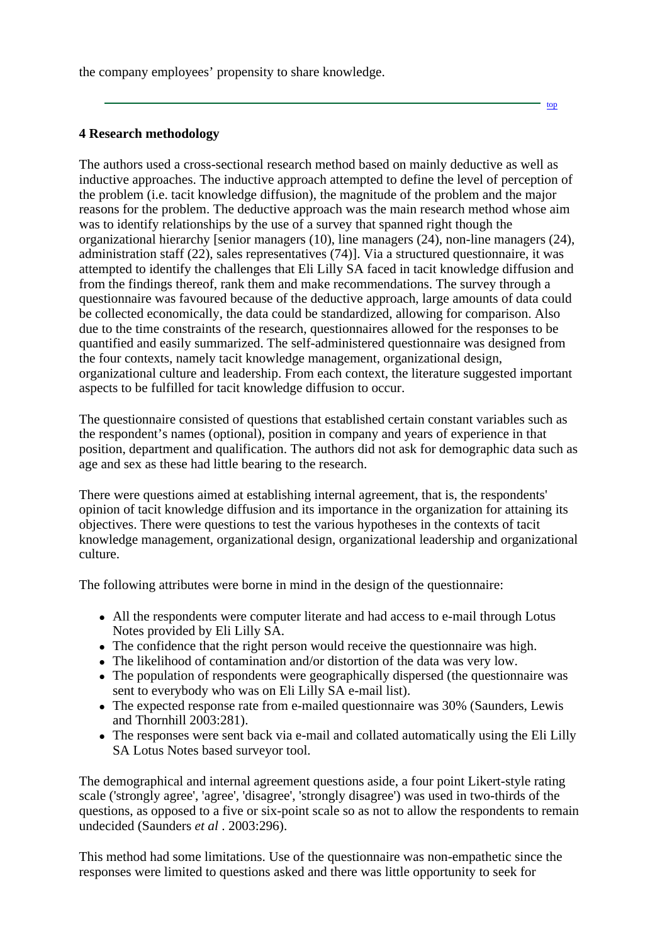the company employees' propensity to share knowledge.

#### **4 Research methodology**

The authors used a cross-sectional research method based on mainly deductive as well as inductive approaches. The inductive approach attempted to define the level of perception of the problem (i.e. tacit knowledge diffusion), the magnitude of the problem and the major reasons for the problem. The deductive approach was the main research method whose aim was to identify relationships by the use of a survey that spanned right though the organizational hierarchy [senior managers (10), line managers (24), non-line managers (24), administration staff (22), sales representatives (74)]. Via a structured questionnaire, it was attempted to identify the challenges that Eli Lilly SA faced in tacit knowledge diffusion and from the findings thereof, rank them and make recommendations. The survey through a questionnaire was favoured because of the deductive approach, large amounts of data could be collected economically, the data could be standardized, allowing for comparison. Also due to the time constraints of the research, questionnaires allowed for the responses to be quantified and easily summarized. The self-administered questionnaire was designed from the four contexts, namely tacit knowledge management, organizational design, organizational culture and leadership. From each context, the literature suggested important aspects to be fulfilled for tacit knowledge diffusion to occur.

top

The questionnaire consisted of questions that established certain constant variables such as the respondent's names (optional), position in company and years of experience in that position, department and qualification. The authors did not ask for demographic data such as age and sex as these had little bearing to the research.

There were questions aimed at establishing internal agreement, that is, the respondents' opinion of tacit knowledge diffusion and its importance in the organization for attaining its objectives. There were questions to test the various hypotheses in the contexts of tacit knowledge management, organizational design, organizational leadership and organizational culture.

The following attributes were borne in mind in the design of the questionnaire:

- All the respondents were computer literate and had access to e-mail through Lotus Notes provided by Eli Lilly SA.
- The confidence that the right person would receive the questionnaire was high.
- The likelihood of contamination and/or distortion of the data was very low.
- The population of respondents were geographically dispersed (the questionnaire was sent to everybody who was on Eli Lilly SA e-mail list).
- The expected response rate from e-mailed questionnaire was 30% (Saunders, Lewis and Thornhill 2003:281).
- The responses were sent back via e-mail and collated automatically using the Eli Lilly SA Lotus Notes based surveyor tool.

The demographical and internal agreement questions aside, a four point Likert-style rating scale ('strongly agree', 'agree', 'disagree', 'strongly disagree') was used in two-thirds of the questions, as opposed to a five or six-point scale so as not to allow the respondents to remain undecided (Saunders *et al* . 2003:296).

This method had some limitations. Use of the questionnaire was non-empathetic since the responses were limited to questions asked and there was little opportunity to seek for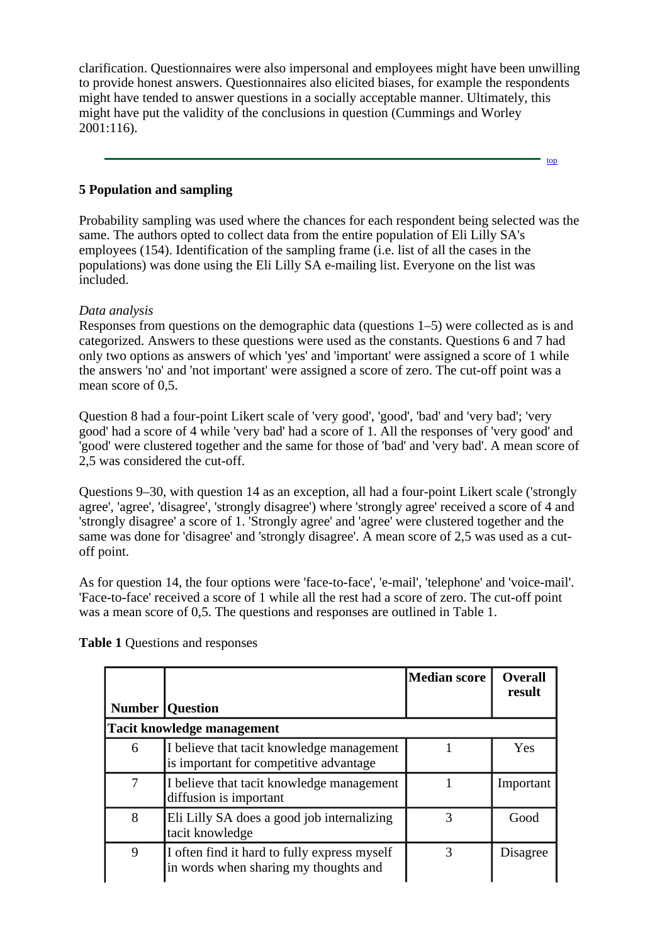clarification. Questionnaires were also impersonal and employees might have been unwilling to provide honest answers. Questionnaires also elicited biases, for example the respondents might have tended to answer questions in a socially acceptable manner. Ultimately, this might have put the validity of the conclusions in question (Cummings and Worley 2001:116).

top

#### **5 Population and sampling**

Probability sampling was used where the chances for each respondent being selected was the same. The authors opted to collect data from the entire population of Eli Lilly SA's employees (154). Identification of the sampling frame (i.e. list of all the cases in the populations) was done using the Eli Lilly SA e-mailing list. Everyone on the list was included.

#### *Data analysis*

Responses from questions on the demographic data (questions 1–5) were collected as is and categorized. Answers to these questions were used as the constants. Questions 6 and 7 had only two options as answers of which 'yes' and 'important' were assigned a score of 1 while the answers 'no' and 'not important' were assigned a score of zero. The cut-off point was a mean score of 0,5.

Question 8 had a four-point Likert scale of 'very good', 'good', 'bad' and 'very bad'; 'very good' had a score of 4 while 'very bad' had a score of 1. All the responses of 'very good' and 'good' were clustered together and the same for those of 'bad' and 'very bad'. A mean score of 2,5 was considered the cut-off.

Questions 9–30, with question 14 as an exception, all had a four-point Likert scale ('strongly agree', 'agree', 'disagree', 'strongly disagree') where 'strongly agree' received a score of 4 and 'strongly disagree' a score of 1. 'Strongly agree' and 'agree' were clustered together and the same was done for 'disagree' and 'strongly disagree'. A mean score of 2,5 was used as a cutoff point.

As for question 14, the four options were 'face-to-face', 'e-mail', 'telephone' and 'voice-mail'. 'Face-to-face' received a score of 1 while all the rest had a score of zero. The cut-off point was a mean score of 0,5. The questions and responses are outlined in Table 1.

|                            |                                                                                       | Median score | <b>Overall</b><br>result |
|----------------------------|---------------------------------------------------------------------------------------|--------------|--------------------------|
|                            | <b>Number  Question</b>                                                               |              |                          |
| Tacit knowledge management |                                                                                       |              |                          |
| 6                          | I believe that tacit knowledge management<br>is important for competitive advantage   |              | Yes                      |
|                            | I believe that tacit knowledge management<br>diffusion is important                   |              | Important                |
| 8                          | Eli Lilly SA does a good job internalizing<br>tacit knowledge                         |              | Good                     |
| 9                          | I often find it hard to fully express myself<br>in words when sharing my thoughts and | 3            | Disagree                 |

**Table 1** Questions and responses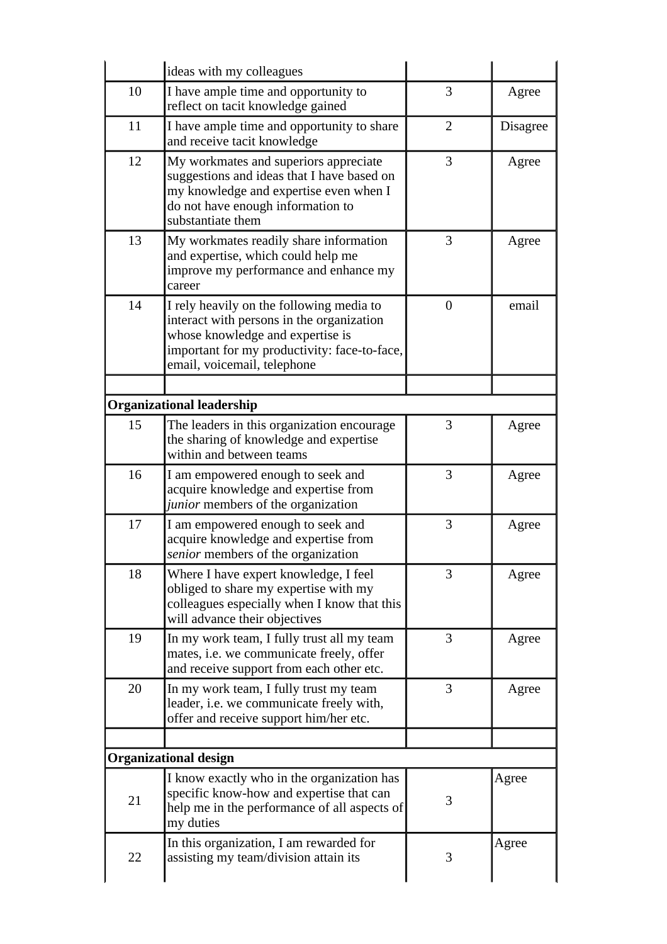|    | ideas with my colleagues                                                                                                                                                                                 |                |          |
|----|----------------------------------------------------------------------------------------------------------------------------------------------------------------------------------------------------------|----------------|----------|
| 10 | I have ample time and opportunity to<br>reflect on tacit knowledge gained                                                                                                                                | 3              | Agree    |
| 11 | I have ample time and opportunity to share<br>and receive tacit knowledge                                                                                                                                | $\overline{2}$ | Disagree |
| 12 | My workmates and superiors appreciate<br>suggestions and ideas that I have based on<br>my knowledge and expertise even when I<br>do not have enough information to<br>substantiate them                  | 3              | Agree    |
| 13 | My workmates readily share information<br>and expertise, which could help me<br>improve my performance and enhance my<br>career                                                                          | 3              | Agree    |
| 14 | I rely heavily on the following media to<br>interact with persons in the organization<br>whose knowledge and expertise is<br>important for my productivity: face-to-face,<br>email, voicemail, telephone | $\theta$       | email    |
|    |                                                                                                                                                                                                          |                |          |
|    | <b>Organizational leadership</b>                                                                                                                                                                         |                |          |
| 15 | The leaders in this organization encourage<br>the sharing of knowledge and expertise<br>within and between teams                                                                                         | 3              | Agree    |
| 16 | I am empowered enough to seek and<br>acquire knowledge and expertise from<br>junior members of the organization                                                                                          | 3              | Agree    |
| 17 | I am empowered enough to seek and<br>acquire knowledge and expertise from<br><i>senior</i> members of the organization                                                                                   | 3              | Agree    |
| 18 | Where I have expert knowledge, I feel<br>obliged to share my expertise with my<br>colleagues especially when I know that this<br>will advance their objectives                                           | 3              | Agree    |
| 19 | In my work team, I fully trust all my team<br>mates, i.e. we communicate freely, offer<br>and receive support from each other etc.                                                                       | 3              | Agree    |
| 20 | In my work team, I fully trust my team<br>leader, <i>i.e.</i> we communicate freely with,<br>offer and receive support him/her etc.                                                                      | 3              | Agree    |
|    |                                                                                                                                                                                                          |                |          |
|    | <b>Organizational design</b>                                                                                                                                                                             |                |          |
| 21 | I know exactly who in the organization has<br>specific know-how and expertise that can<br>help me in the performance of all aspects of<br>my duties                                                      | 3              | Agree    |
| 22 | In this organization, I am rewarded for<br>assisting my team/division attain its                                                                                                                         | 3              | Agree    |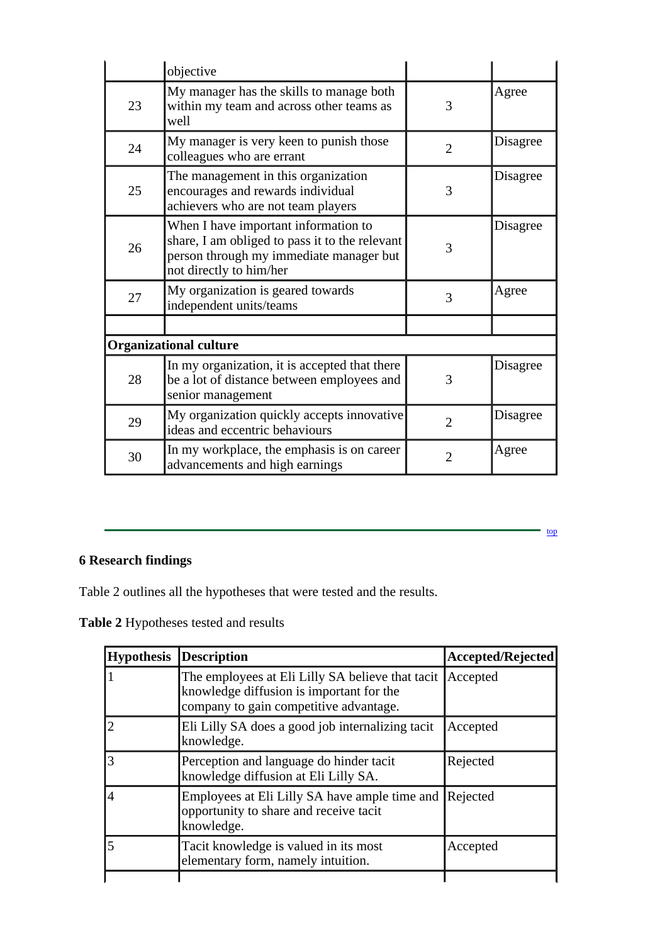|    | objective                                                                                                                                                    |                |          |
|----|--------------------------------------------------------------------------------------------------------------------------------------------------------------|----------------|----------|
| 23 | My manager has the skills to manage both<br>within my team and across other teams as<br>well                                                                 | 3              | Agree    |
| 24 | My manager is very keen to punish those<br>colleagues who are errant                                                                                         | $\overline{2}$ | Disagree |
| 25 | The management in this organization<br>encourages and rewards individual<br>achievers who are not team players                                               | 3              | Disagree |
| 26 | When I have important information to<br>share, I am obliged to pass it to the relevant<br>person through my immediate manager but<br>not directly to him/her | 3              | Disagree |
| 27 | My organization is geared towards<br>independent units/teams                                                                                                 | 3              | Agree    |
|    |                                                                                                                                                              |                |          |
|    | <b>Organizational culture</b>                                                                                                                                |                |          |
| 28 | In my organization, it is accepted that there<br>be a lot of distance between employees and<br>senior management                                             | 3              | Disagree |
| 29 | My organization quickly accepts innovative<br>ideas and eccentric behaviours                                                                                 | $\overline{2}$ | Disagree |
| 30 | In my workplace, the emphasis is on career<br>advancements and high earnings                                                                                 | $\mathfrak{D}$ | Agree    |

# **6 Research findings**

Table 2 outlines all the hypotheses that were tested and the results.

**Table 2** Hypotheses tested and results

| <b>Hypothesis</b> | Description                                                                                                                                       | <b>Accepted/Rejected</b> |
|-------------------|---------------------------------------------------------------------------------------------------------------------------------------------------|--------------------------|
|                   | The employees at Eli Lilly SA believe that tacit   Accepted<br>knowledge diffusion is important for the<br>company to gain competitive advantage. |                          |
|                   | Eli Lilly SA does a good job internalizing tacit<br>knowledge.                                                                                    | Accepted                 |
|                   | Perception and language do hinder tacit<br>knowledge diffusion at Eli Lilly SA.                                                                   | Rejected                 |
| 4                 | Employees at Eli Lilly SA have ample time and Rejected<br>opportunity to share and receive tacit<br>knowledge.                                    |                          |
| 5                 | Tacit knowledge is valued in its most<br>elementary form, namely intuition.                                                                       | Accepted                 |
|                   |                                                                                                                                                   |                          |

top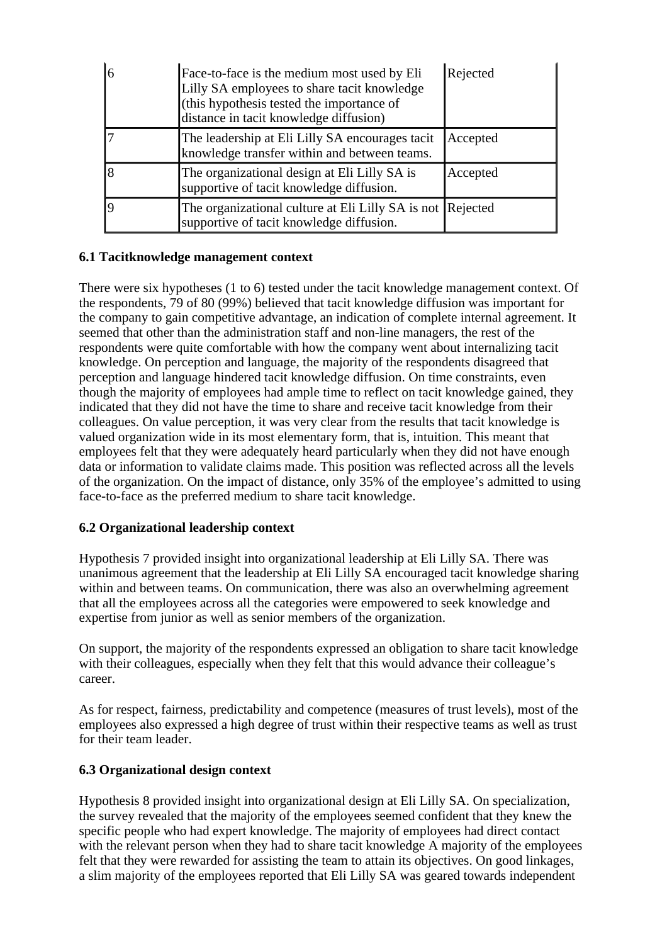| 6 | Face-to-face is the medium most used by Eli<br>Lilly SA employees to share tacit knowledge<br>(this hypothesis tested the importance of<br>distance in tacit knowledge diffusion) | Rejected |
|---|-----------------------------------------------------------------------------------------------------------------------------------------------------------------------------------|----------|
|   | The leadership at Eli Lilly SA encourages tacit<br>knowledge transfer within and between teams.                                                                                   | Accepted |
|   | The organizational design at Eli Lilly SA is<br>supportive of tacit knowledge diffusion.                                                                                          | Accepted |
|   | The organizational culture at Eli Lilly SA is not Rejected<br>supportive of tacit knowledge diffusion.                                                                            |          |

#### **6.1 Tacitknowledge management context**

There were six hypotheses (1 to 6) tested under the tacit knowledge management context. Of the respondents, 79 of 80 (99%) believed that tacit knowledge diffusion was important for the company to gain competitive advantage, an indication of complete internal agreement. It seemed that other than the administration staff and non-line managers, the rest of the respondents were quite comfortable with how the company went about internalizing tacit knowledge. On perception and language, the majority of the respondents disagreed that perception and language hindered tacit knowledge diffusion. On time constraints, even though the majority of employees had ample time to reflect on tacit knowledge gained, they indicated that they did not have the time to share and receive tacit knowledge from their colleagues. On value perception, it was very clear from the results that tacit knowledge is valued organization wide in its most elementary form, that is, intuition. This meant that employees felt that they were adequately heard particularly when they did not have enough data or information to validate claims made. This position was reflected across all the levels of the organization. On the impact of distance, only 35% of the employee's admitted to using face-to-face as the preferred medium to share tacit knowledge.

#### **6.2 Organizational leadership context**

Hypothesis 7 provided insight into organizational leadership at Eli Lilly SA. There was unanimous agreement that the leadership at Eli Lilly SA encouraged tacit knowledge sharing within and between teams. On communication, there was also an overwhelming agreement that all the employees across all the categories were empowered to seek knowledge and expertise from junior as well as senior members of the organization.

On support, the majority of the respondents expressed an obligation to share tacit knowledge with their colleagues, especially when they felt that this would advance their colleague's career.

As for respect, fairness, predictability and competence (measures of trust levels), most of the employees also expressed a high degree of trust within their respective teams as well as trust for their team leader.

#### **6.3 Organizational design context**

Hypothesis 8 provided insight into organizational design at Eli Lilly SA. On specialization, the survey revealed that the majority of the employees seemed confident that they knew the specific people who had expert knowledge. The majority of employees had direct contact with the relevant person when they had to share tacit knowledge A majority of the employees felt that they were rewarded for assisting the team to attain its objectives. On good linkages, a slim majority of the employees reported that Eli Lilly SA was geared towards independent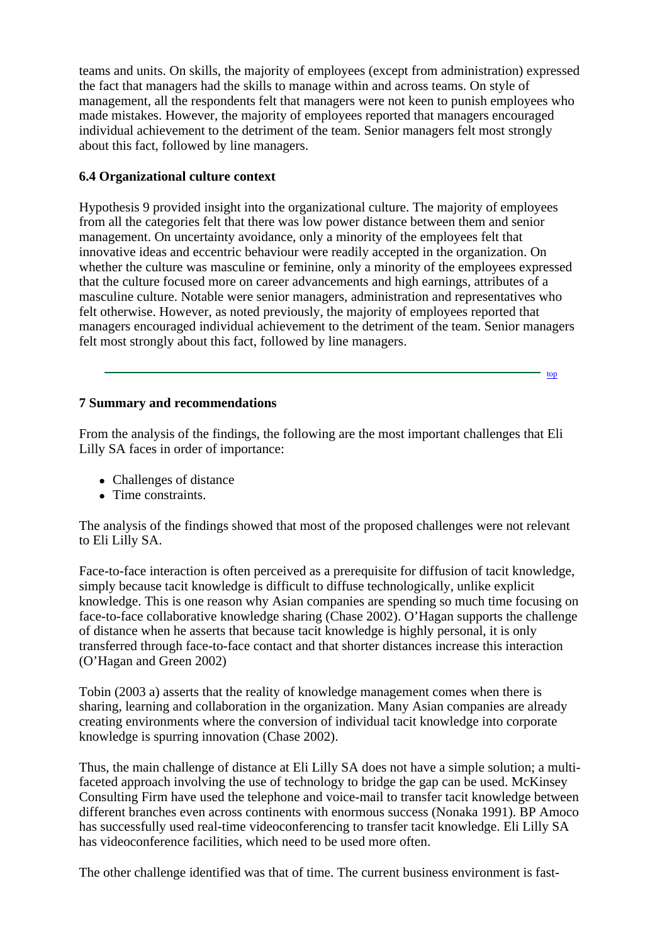teams and units. On skills, the majority of employees (except from administration) expressed the fact that managers had the skills to manage within and across teams. On style of management, all the respondents felt that managers were not keen to punish employees who made mistakes. However, the majority of employees reported that managers encouraged individual achievement to the detriment of the team. Senior managers felt most strongly about this fact, followed by line managers.

#### **6.4 Organizational culture context**

Hypothesis 9 provided insight into the organizational culture. The majority of employees from all the categories felt that there was low power distance between them and senior management. On uncertainty avoidance, only a minority of the employees felt that innovative ideas and eccentric behaviour were readily accepted in the organization. On whether the culture was masculine or feminine, only a minority of the employees expressed that the culture focused more on career advancements and high earnings, attributes of a masculine culture. Notable were senior managers, administration and representatives who felt otherwise. However, as noted previously, the majority of employees reported that managers encouraged individual achievement to the detriment of the team. Senior managers felt most strongly about this fact, followed by line managers.

#### **7 Summary and recommendations**

From the analysis of the findings, the following are the most important challenges that Eli Lilly SA faces in order of importance:

top

- Challenges of distance
- Time constraints.

The analysis of the findings showed that most of the proposed challenges were not relevant to Eli Lilly SA.

Face-to-face interaction is often perceived as a prerequisite for diffusion of tacit knowledge, simply because tacit knowledge is difficult to diffuse technologically, unlike explicit knowledge. This is one reason why Asian companies are spending so much time focusing on face-to-face collaborative knowledge sharing (Chase 2002). O'Hagan supports the challenge of distance when he asserts that because tacit knowledge is highly personal, it is only transferred through face-to-face contact and that shorter distances increase this interaction (O'Hagan and Green 2002)

Tobin (2003 a) asserts that the reality of knowledge management comes when there is sharing, learning and collaboration in the organization. Many Asian companies are already creating environments where the conversion of individual tacit knowledge into corporate knowledge is spurring innovation (Chase 2002).

Thus, the main challenge of distance at Eli Lilly SA does not have a simple solution; a multifaceted approach involving the use of technology to bridge the gap can be used. McKinsey Consulting Firm have used the telephone and voice-mail to transfer tacit knowledge between different branches even across continents with enormous success (Nonaka 1991). BP Amoco has successfully used real-time videoconferencing to transfer tacit knowledge. Eli Lilly SA has videoconference facilities, which need to be used more often.

The other challenge identified was that of time. The current business environment is fast-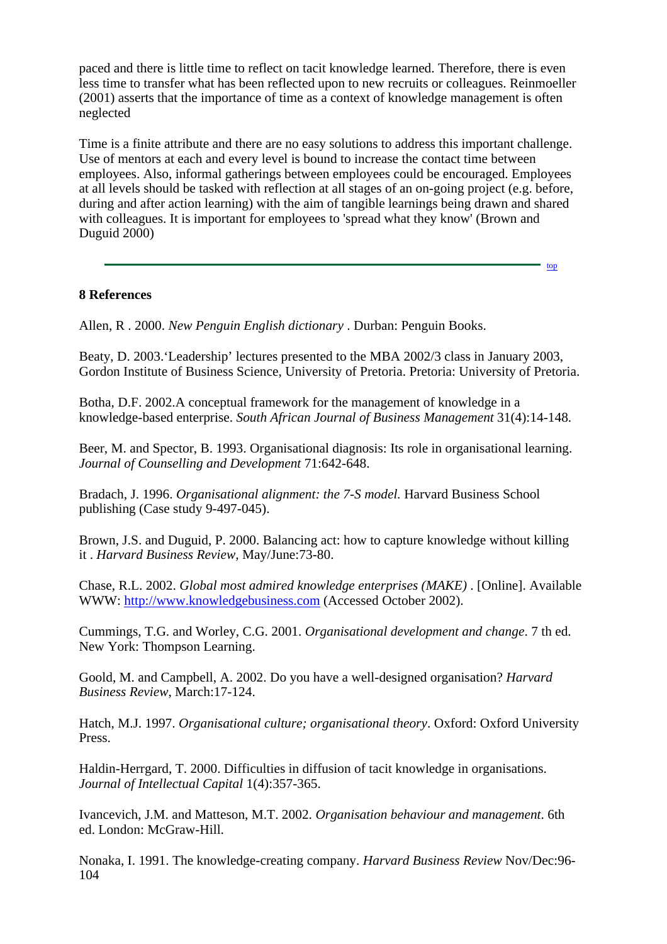paced and there is little time to reflect on tacit knowledge learned. Therefore, there is even less time to transfer what has been reflected upon to new recruits or colleagues. Reinmoeller (2001) asserts that the importance of time as a context of knowledge management is often neglected

Time is a finite attribute and there are no easy solutions to address this important challenge. Use of mentors at each and every level is bound to increase the contact time between employees. Also, informal gatherings between employees could be encouraged. Employees at all levels should be tasked with reflection at all stages of an on-going project (e.g. before, during and after action learning) with the aim of tangible learnings being drawn and shared with colleagues. It is important for employees to 'spread what they know' (Brown and Duguid 2000)

top

#### **8 References**

Allen, R . 2000. *New Penguin English dictionary* . Durban: Penguin Books.

Beaty, D. 2003.'Leadership' lectures presented to the MBA 2002/3 class in January 2003, Gordon Institute of Business Science, University of Pretoria. Pretoria: University of Pretoria.

Botha, D.F. 2002.A conceptual framework for the management of knowledge in a knowledge-based enterprise. *South African Journal of Business Management* 31(4):14-148.

Beer, M. and Spector, B. 1993. Organisational diagnosis: Its role in organisational learning. *Journal of Counselling and Development* 71:642-648.

Bradach, J. 1996. *Organisational alignment: the 7-S model.* Harvard Business School publishing (Case study 9-497-045).

Brown, J.S. and Duguid, P. 2000. Balancing act: how to capture knowledge without killing it . *Harvard Business Review*, May/June:73-80.

Chase, R.L. 2002. *Global most admired knowledge enterprises (MAKE)* . [Online]. Available WWW: http://www.knowledgebusiness.com (Accessed October 2002).

Cummings, T.G. and Worley, C.G. 2001. *Organisational development and change*. 7 th ed. New York: Thompson Learning.

Goold, M. and Campbell, A. 2002. Do you have a well-designed organisation? *Harvard Business Review*, March:17-124.

Hatch, M.J. 1997. *Organisational culture; organisational theory*. Oxford: Oxford University Press.

Haldin-Herrgard, T. 2000. Difficulties in diffusion of tacit knowledge in organisations. *Journal of Intellectual Capital* 1(4):357-365.

Ivancevich, J.M. and Matteson, M.T. 2002. *Organisation behaviour and management*. 6th ed. London: McGraw-Hill.

Nonaka, I. 1991. The knowledge-creating company. *Harvard Business Review* Nov/Dec:96- 104